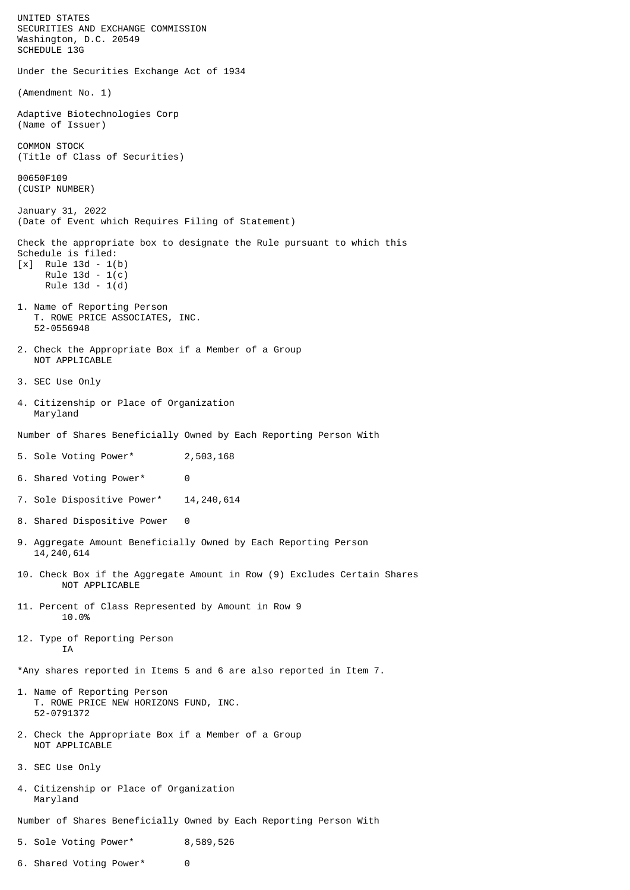UNITED STATES SECURITIES AND EXCHANGE COMMISSION Washington, D.C. 20549 SCHEDULE 13G Under the Securities Exchange Act of 1934 (Amendment No. 1) Adaptive Biotechnologies Corp (Name of Issuer) COMMON STOCK (Title of Class of Securities) 00650F109 (CUSIP NUMBER) January 31, 2022 (Date of Event which Requires Filing of Statement) Check the appropriate box to designate the Rule pursuant to which this Schedule is filed: [x] Rule 13d - 1(b) Rule 13d - 1(c) Rule 13d - 1(d) 1. Name of Reporting Person T. ROWE PRICE ASSOCIATES, INC. 52-0556948 2. Check the Appropriate Box if a Member of a Group NOT APPLICABLE 3. SEC Use Only 4. Citizenship or Place of Organization Maryland Number of Shares Beneficially Owned by Each Reporting Person With 5. Sole Voting Power\* 2,503,168 6. Shared Voting Power\* 0 7. Sole Dispositive Power\* 14,240,614 8. Shared Dispositive Power 0 9. Aggregate Amount Beneficially Owned by Each Reporting Person 14,240,614 10. Check Box if the Aggregate Amount in Row (9) Excludes Certain Shares NOT APPLICABLE 11. Percent of Class Represented by Amount in Row 9 10.0% 12. Type of Reporting Person **TA** \*Any shares reported in Items 5 and 6 are also reported in Item 7. 1. Name of Reporting Person T. ROWE PRICE NEW HORIZONS FUND, INC. 52-0791372 2. Check the Appropriate Box if a Member of a Group NOT APPLICABLE 3. SEC Use Only 4. Citizenship or Place of Organization Maryland Number of Shares Beneficially Owned by Each Reporting Person With 5. Sole Voting Power\* 8,589,526

6. Shared Voting Power\* 0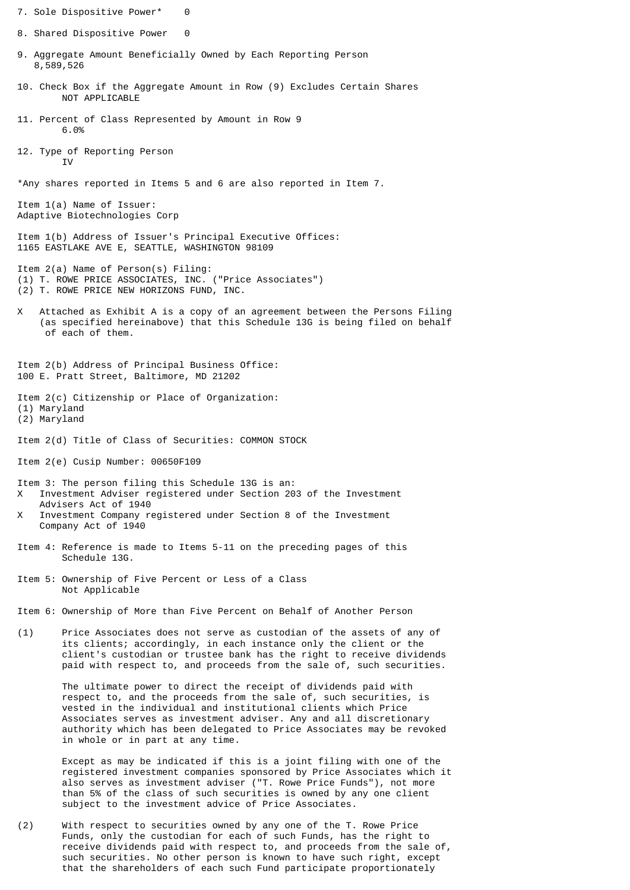- 7. Sole Dispositive Power\* 0 8. Shared Dispositive Power 0 9. Aggregate Amount Beneficially Owned by Each Reporting Person 8,589,526 10. Check Box if the Aggregate Amount in Row (9) Excludes Certain Shares NOT APPLICABLE 11. Percent of Class Represented by Amount in Row 9 6.0% 12. Type of Reporting Person T<sub>V</sub> \*Any shares reported in Items 5 and 6 are also reported in Item 7. Item 1(a) Name of Issuer: Adaptive Biotechnologies Corp Item 1(b) Address of Issuer's Principal Executive Offices: 1165 EASTLAKE AVE E, SEATTLE, WASHINGTON 98109 Item 2(a) Name of Person(s) Filing: (1) T. ROWE PRICE ASSOCIATES, INC. ("Price Associates") (2) T. ROWE PRICE NEW HORIZONS FUND, INC. X Attached as Exhibit A is a copy of an agreement between the Persons Filing (as specified hereinabove) that this Schedule 13G is being filed on behalf of each of them. Item 2(b) Address of Principal Business Office: 100 E. Pratt Street, Baltimore, MD 21202 Item 2(c) Citizenship or Place of Organization: (1) Maryland (2) Maryland Item 2(d) Title of Class of Securities: COMMON STOCK Item 2(e) Cusip Number: 00650F109 Item 3: The person filing this Schedule 13G is an: X Investment Adviser registered under Section 203 of the Investment Advisers Act of 1940 X Investment Company registered under Section 8 of the Investment Company Act of 1940 Item 4: Reference is made to Items 5-11 on the preceding pages of this Schedule 13G. Item 5: Ownership of Five Percent or Less of a Class Not Applicable Item 6: Ownership of More than Five Percent on Behalf of Another Person (1) Price Associates does not serve as custodian of the assets of any of its clients; accordingly, in each instance only the client or the client's custodian or trustee bank has the right to receive dividends paid with respect to, and proceeds from the sale of, such securities. The ultimate power to direct the receipt of dividends paid with respect to, and the proceeds from the sale of, such securities, is vested in the individual and institutional clients which Price Associates serves as investment adviser. Any and all discretionary authority which has been delegated to Price Associates may be revoked in whole or in part at any time. Except as may be indicated if this is a joint filing with one of the registered investment companies sponsored by Price Associates which it also serves as investment adviser ("T. Rowe Price Funds"), not more than 5% of the class of such securities is owned by any one client
- (2) With respect to securities owned by any one of the T. Rowe Price Funds, only the custodian for each of such Funds, has the right to receive dividends paid with respect to, and proceeds from the sale of, such securities. No other person is known to have such right, except that the shareholders of each such Fund participate proportionately

subject to the investment advice of Price Associates.